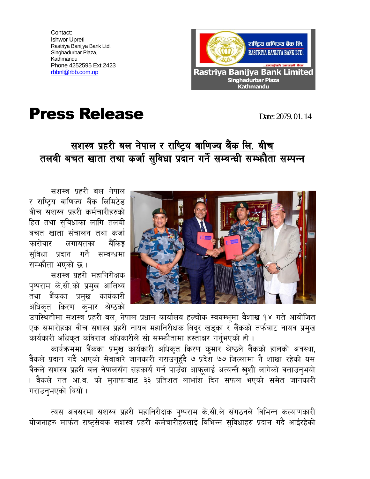Contact: Ishwor Upreti Rastriya Banijya Bank Ltd. Singhadurbar Plaza, Kathmandu Phone 4252595 Ext.2423



## **Press Release Date: 2079.01.14**

## सशस्त्र प्रहरी बल नेपाल र राष्ट्रिय वाणिज्य बैंक लि. बीच तलबी बचत खाता तथा कर्जा सुविधा प्रदान गर्ने सम्बन्धी सम्भनैता सम्पन्न

सशस्त्र प्रहरी बल नेपाल र राष्टिय वाणिज्य बैंक लिमिटेड बीच सशस्त्र प्रहरी कर्मचारीहरुको हित तथा सविधाका लागि तलबी बचत खाता संचालन तथा कर्जा कारोवार लगायतका बैंकिङ सुविधा प्रदान गर्ने सम्वन्धमा सम्भौता भएको छ।

सशस्त्र प्रहरी महानिरीक्षक पुष्पराम के.सी.को प्रमुख आतिथ्य तथा बैंकका प्रमुख कार्यकारी अधिकृत किरण कुमार श्रेष्ठको



उपस्थितीमा सशस्त्र प्रहरी बल, नेपाल प्रधान कार्यालय हल्चोक स्वयम्भूमा बैशाख १४ गते आयोजित एक समारोहका वीच सशस्त्र प्रहरी नायव महानिरीक्षक बिदुर खड्का र बैंकको तर्फबाट नायव प्रमुख कार्यकारी अधिकृत कविराज अधिकारीले सो सम्फौतामा हस्ताक्षर गर्नुभएको हो।

कार्यक्रममा बैंकका प्रमुख कार्यकारी अधिकृत किरण कुमार श्रेष्ठले बैंकको हालको अवस्था, वैंकले प्रदान गर्दै आएको सेवावारे जानकारी गराउनहुँदै ७ प्रदेश ७७ जिल्लामा नै शाखा रहेको यस वैंकले सशस्त्र प्रहरी बल नेपालसँग सहकार्य गर्न पाउँदा आफुलाई अत्यन्तै खुशी लागेको वताउनुभयो । बैंकले गत आ.व. को मनाफावाट ३३ प्रतिशत लाभांश दिन सफल भएको समेत जानकारी गराउनभएको थियो ।

त्यस अवसरमा सशस्त्र प्रहरी महानिरीक्षक पुष्पराम के.सी.ले संगठनले विभिन्न कल्याणकारी योजनाहरु मार्फत राष्ट्सेवक सशस्त्र प्रहरी कर्मचारीहरुलाई विभिन्न सुविधाहरु प्रदान गर्दै आईरहेको